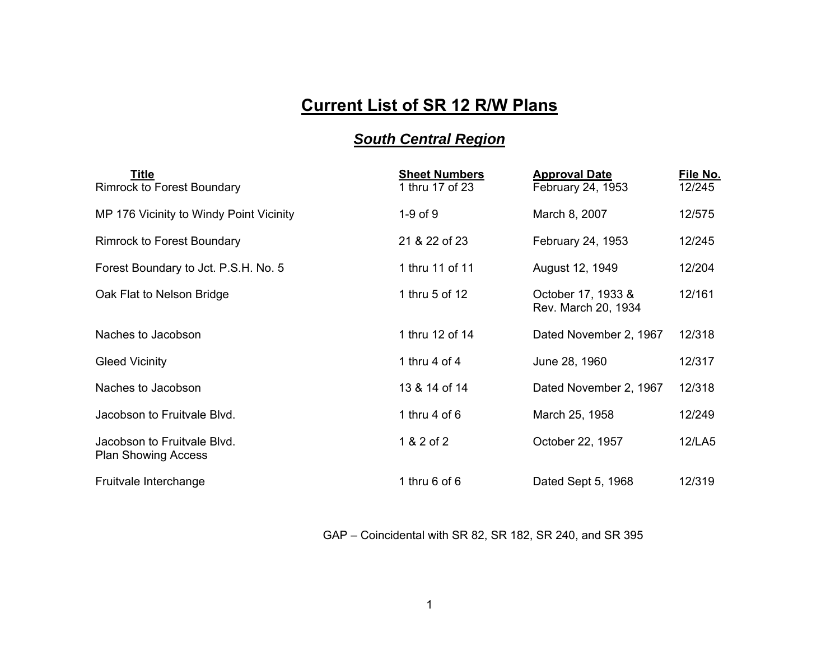## **Current List of SR 12 R/W Plans**

## *South Central Region*

| <b>Title</b><br><b>Rimrock to Forest Boundary</b>         | <b>Sheet Numbers</b><br>1 thru 17 of 23 | <b>Approval Date</b><br>February 24, 1953 | File No.<br>12/245 |
|-----------------------------------------------------------|-----------------------------------------|-------------------------------------------|--------------------|
| MP 176 Vicinity to Windy Point Vicinity                   | $1-9$ of $9$                            | March 8, 2007                             | 12/575             |
| <b>Rimrock to Forest Boundary</b>                         | 21 & 22 of 23                           | February 24, 1953                         | 12/245             |
| Forest Boundary to Jct. P.S.H. No. 5                      | 1 thru 11 of 11                         | August 12, 1949                           | 12/204             |
| Oak Flat to Nelson Bridge                                 | 1 thru 5 of 12                          | October 17, 1933 &<br>Rev. March 20, 1934 | 12/161             |
| Naches to Jacobson                                        | 1 thru 12 of 14                         | Dated November 2, 1967                    | 12/318             |
| <b>Gleed Vicinity</b>                                     | 1 thru 4 of 4                           | June 28, 1960                             | 12/317             |
| Naches to Jacobson                                        | 13 & 14 of 14                           | Dated November 2, 1967                    | 12/318             |
| Jacobson to Fruitvale Blvd.                               | 1 thru $4$ of $6$                       | March 25, 1958                            | 12/249             |
| Jacobson to Fruitvale Blvd.<br><b>Plan Showing Access</b> | 1 & 2 of 2                              | October 22, 1957                          | 12/LA5             |
| Fruitvale Interchange                                     | 1 thru $6$ of $6$                       | Dated Sept 5, 1968                        | 12/319             |

GAP – Coincidental with SR 82, SR 182, SR 240, and SR 395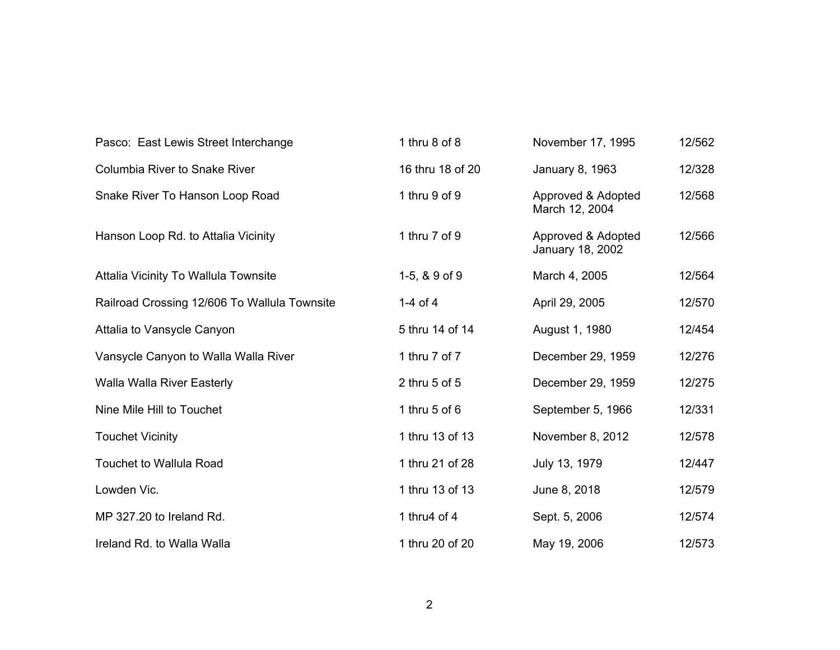| Pasco: East Lewis Street Interchange         | 1 thru 8 of 8     | November 17, 1995                      | 12/562 |
|----------------------------------------------|-------------------|----------------------------------------|--------|
| Columbia River to Snake River                | 16 thru 18 of 20  | January 8, 1963                        | 12/328 |
| Snake River To Hanson Loop Road              | 1 thru 9 of 9     | Approved & Adopted<br>March 12, 2004   | 12/568 |
| Hanson Loop Rd. to Attalia Vicinity          | 1 thru 7 of 9     | Approved & Adopted<br>January 18, 2002 | 12/566 |
| Attalia Vicinity To Wallula Townsite         | 1-5, $8.9$ of $9$ | March 4, 2005                          | 12/564 |
| Railroad Crossing 12/606 To Wallula Townsite | 1-4 of 4          | April 29, 2005                         | 12/570 |
| Attalia to Vansycle Canyon                   | 5 thru 14 of 14   | August 1, 1980                         | 12/454 |
| Vansycle Canyon to Walla Walla River         | 1 thru 7 of 7     | December 29, 1959                      | 12/276 |
| <b>Walla Walla River Easterly</b>            | 2 thru 5 of 5     | December 29, 1959                      | 12/275 |
| Nine Mile Hill to Touchet                    | 1 thru $5$ of $6$ | September 5, 1966                      | 12/331 |
| <b>Touchet Vicinity</b>                      | 1 thru 13 of 13   | November 8, 2012                       | 12/578 |
| <b>Touchet to Wallula Road</b>               | 1 thru 21 of 28   | July 13, 1979                          | 12/447 |
| Lowden Vic.                                  | 1 thru 13 of 13   | June 8, 2018                           | 12/579 |
| MP 327.20 to Ireland Rd.                     | 1 thru4 of 4      | Sept. 5, 2006                          | 12/574 |
| Ireland Rd. to Walla Walla                   | 1 thru 20 of 20   | May 19, 2006                           | 12/573 |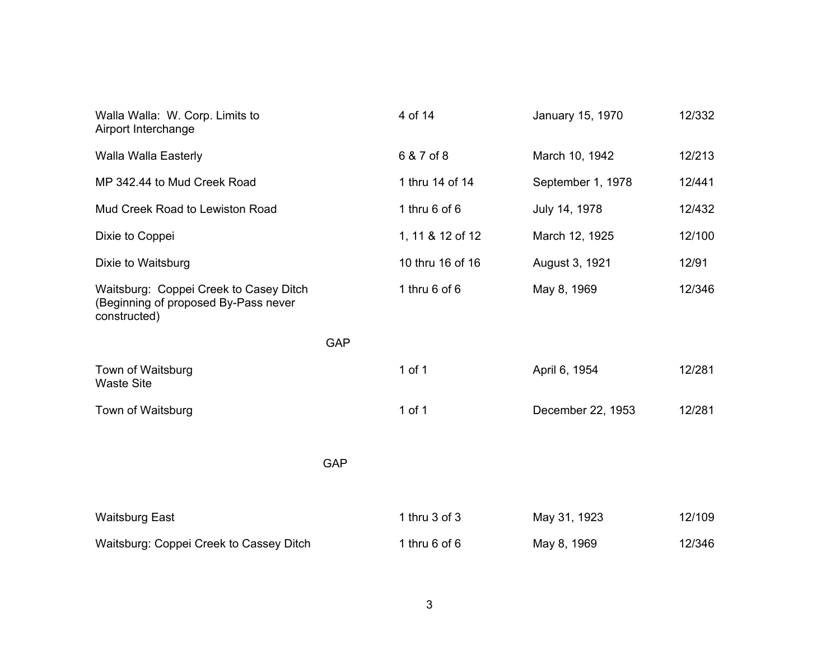| Walla Walla: W. Corp. Limits to<br>Airport Interchange                                         |            | 4 of 14           | January 15, 1970  | 12/332 |
|------------------------------------------------------------------------------------------------|------------|-------------------|-------------------|--------|
| Walla Walla Easterly                                                                           |            | 6 & 7 of 8        | March 10, 1942    | 12/213 |
| MP 342.44 to Mud Creek Road                                                                    |            | 1 thru 14 of 14   | September 1, 1978 | 12/441 |
| Mud Creek Road to Lewiston Road                                                                |            | 1 thru $6$ of $6$ | July 14, 1978     | 12/432 |
| Dixie to Coppei                                                                                |            | 1, 11 & 12 of 12  | March 12, 1925    | 12/100 |
| Dixie to Waitsburg                                                                             |            | 10 thru 16 of 16  | August 3, 1921    | 12/91  |
| Waitsburg: Coppei Creek to Casey Ditch<br>(Beginning of proposed By-Pass never<br>constructed) |            | 1 thru $6$ of $6$ | May 8, 1969       | 12/346 |
|                                                                                                | <b>GAP</b> |                   |                   |        |
| Town of Waitsburg<br><b>Waste Site</b>                                                         |            | $1$ of $1$        | April 6, 1954     | 12/281 |
| Town of Waitsburg                                                                              |            | 1 of 1            | December 22, 1953 | 12/281 |
|                                                                                                | <b>GAP</b> |                   |                   |        |
| <b>Waitsburg East</b>                                                                          |            | 1 thru 3 of 3     | May 31, 1923      | 12/109 |
| Waitsburg: Coppei Creek to Cassey Ditch                                                        |            | 1 thru $6$ of $6$ | May 8, 1969       | 12/346 |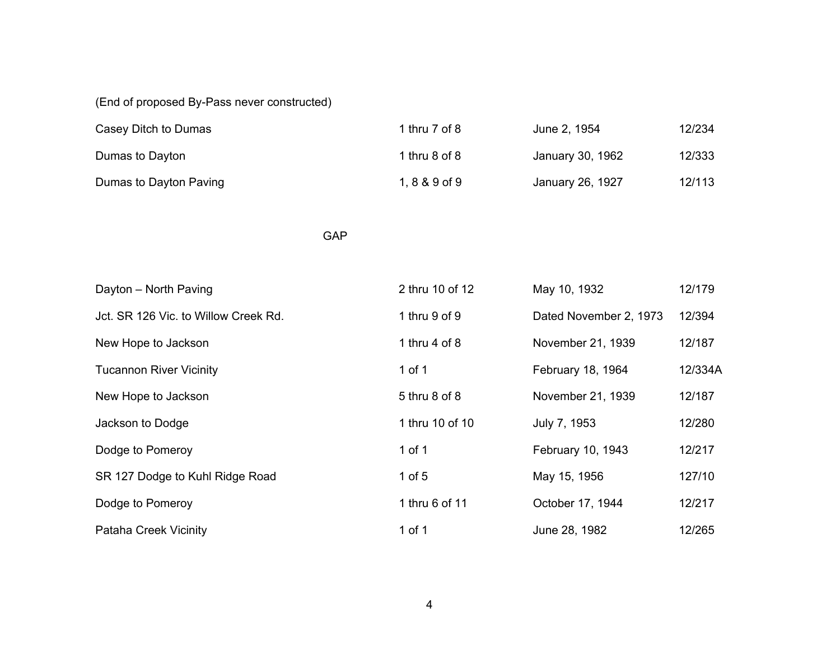(End of proposed By-Pass never constructed)

| Casey Ditch to Dumas   | 1 thru 7 of 8 <sub>.</sub> | June 2, 1954     | 12/234 |
|------------------------|----------------------------|------------------|--------|
| Dumas to Dayton        | 1 thru 8 of 8              | January 30, 1962 | 12/333 |
| Dumas to Dayton Paving | $1, 8 & 9$ of 9            | January 26, 1927 | 12/113 |

game and the contract of the GAP of the GAP of the Second Second Second Second Second Second Second Second Second Second Second Second Second Second Second Second Second Second Second Second Second Second Second Second Sec

| Dayton - North Paving                | 2 thru 10 of 12   | May 10, 1932           | 12/179  |
|--------------------------------------|-------------------|------------------------|---------|
| Jct. SR 126 Vic. to Willow Creek Rd. | 1 thru $9$ of $9$ | Dated November 2, 1973 | 12/394  |
| New Hope to Jackson                  | 1 thru $4$ of $8$ | November 21, 1939      | 12/187  |
| <b>Tucannon River Vicinity</b>       | 1 of 1            | February 18, 1964      | 12/334A |
| New Hope to Jackson                  | 5 thru 8 of 8     | November 21, 1939      | 12/187  |
| Jackson to Dodge                     | 1 thru 10 of 10   | July 7, 1953           | 12/280  |
| Dodge to Pomeroy                     | 1 of 1            | February 10, 1943      | 12/217  |
| SR 127 Dodge to Kuhl Ridge Road      | 1 of $5$          | May 15, 1956           | 127/10  |
| Dodge to Pomeroy                     | 1 thru 6 of 11    | October 17, 1944       | 12/217  |
| <b>Pataha Creek Vicinity</b>         | $1$ of $1$        | June 28, 1982          | 12/265  |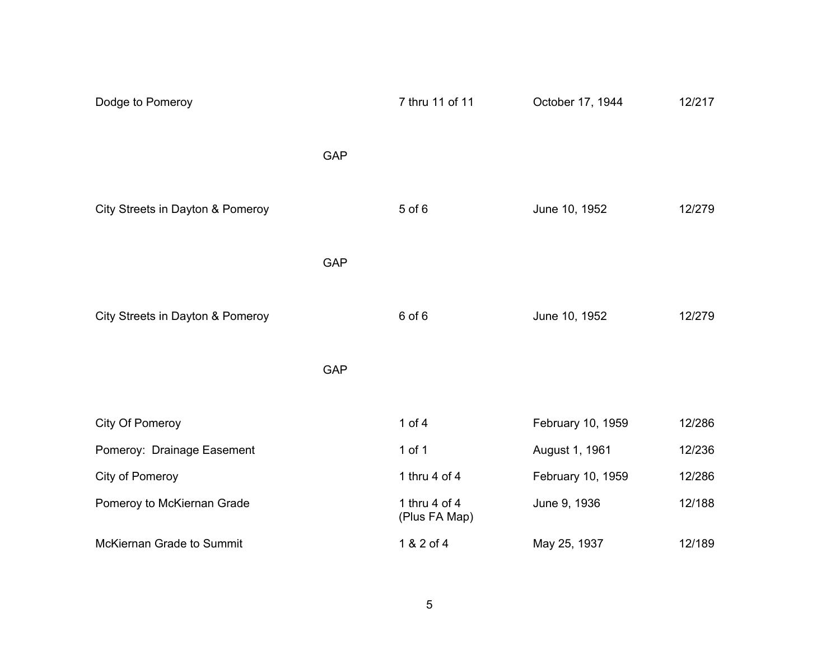| Dodge to Pomeroy                 |            | 7 thru 11 of 11                | October 17, 1944  | 12/217 |
|----------------------------------|------------|--------------------------------|-------------------|--------|
|                                  | <b>GAP</b> |                                |                   |        |
| City Streets in Dayton & Pomeroy |            | $5$ of $6$                     | June 10, 1952     | 12/279 |
|                                  | <b>GAP</b> |                                |                   |        |
| City Streets in Dayton & Pomeroy |            | 6 of 6                         | June 10, 1952     | 12/279 |
|                                  | <b>GAP</b> |                                |                   |        |
| City Of Pomeroy                  |            | 1 of $4$                       | February 10, 1959 | 12/286 |
| Pomeroy: Drainage Easement       |            | 1 of 1                         | August 1, 1961    | 12/236 |
| City of Pomeroy                  |            | 1 thru 4 of 4                  | February 10, 1959 | 12/286 |
| Pomeroy to McKiernan Grade       |            | 1 thru 4 of 4<br>(Plus FA Map) | June 9, 1936      | 12/188 |
| McKiernan Grade to Summit        |            | 1 & 2 of 4                     | May 25, 1937      | 12/189 |